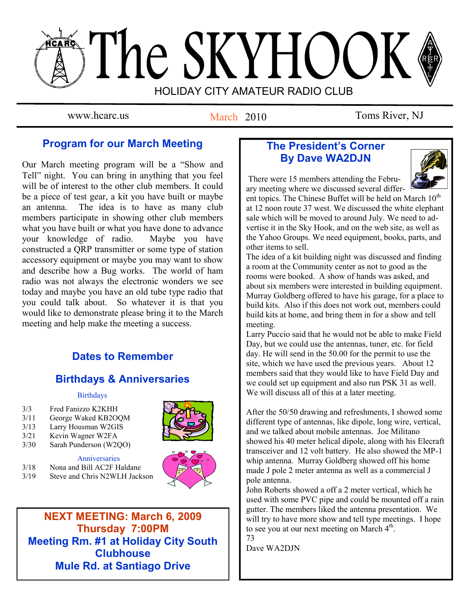# The SKYHOOK HOLIDAY CITY AMATEUR RADIO CLUB

March 2010

www.hcarc.us March 2010 Toms River, NJ

# **Program for our March Meeting**

Our March meeting program will be a "Show and Tell" night. You can bring in anything that you feel will be of interest to the other club members. It could be a piece of test gear, a kit you have built or maybe an antenna. The idea is to have as many club members participate in showing other club members what you have built or what you have done to advance your knowledge of radio. Maybe you have constructed a QRP transmitter or some type of station accessory equipment or maybe you may want to show and describe how a Bug works. The world of ham radio was not always the electronic wonders we see today and maybe you have an old tube type radio that you could talk about. So whatever it is that you would like to demonstrate please bring it to the March meeting and help make the meeting a success.

# **Dates to Remember**

# **Birthdays & Anniversaries**

## **Birthdays**

- 3/3 Fred Fanizzo K2KHH
- 3/11 George Waked KB2OQM
- 3/13 Larry Housman W2GIS
- 3/21 Kevin Wagner W2FA
- 3/30 Sarah Punderson (W2QO)

## Anniversaries

- 3/18 Nona and Bill AC2F Haldane
- 3/19 Steve and Chris N2WLH Jackson



**NEXT MEETING: March 6, 2009 Thursday 7:00PM Meeting Rm. #1 at Holiday City South Clubhouse Mule Rd. at Santiago Drive**

# **The President's Corner By Dave WA2DJN**



There were 15 members attending the February meeting where we discussed several differ-

ent topics. The Chinese Buffet will be held on March 10<sup>th</sup> at 12 noon route 37 west. We discussed the white elephant sale which will be moved to around July. We need to advertise it in the Sky Hook, and on the web site, as well as the Yahoo Groups. We need equipment, books, parts, and other items to sell.

The idea of a kit building night was discussed and finding a room at the Community center as not to good as the rooms were booked. A show of hands was asked, and about six members were interested in building equipment. Murray Goldberg offered to have his garage, for a place to build kits. Also if this does not work out, members could build kits at home, and bring them in for a show and tell meeting.

Larry Puccio said that he would not be able to make Field Day, but we could use the antennas, tuner, etc. for field day. He will send in the 50.00 for the permit to use the site, which we have used the previous years. About 12 members said that they would like to have Field Day and we could set up equipment and also run PSK 31 as well. We will discuss all of this at a later meeting.

After the 50/50 drawing and refreshments, I showed some different type of antennas, like dipole, long wire, vertical, and we talked about mobile antennas. Joe Militano showed his 40 meter helical dipole, along with his Elecraft transceiver and 12 volt battery. He also showed the MP-1 whip antenna. Murray Goldberg showed off his home made J pole 2 meter antenna as well as a commercial J pole antenna.

John Roberts showed a off a 2 meter vertical, which he used with some PVC pipe and could be mounted off a rain gutter. The members liked the antenna presentation. We will try to have more show and tell type meetings. I hope to see you at our next meeting on March 4<sup>th</sup>. 73

Dave WA2DJN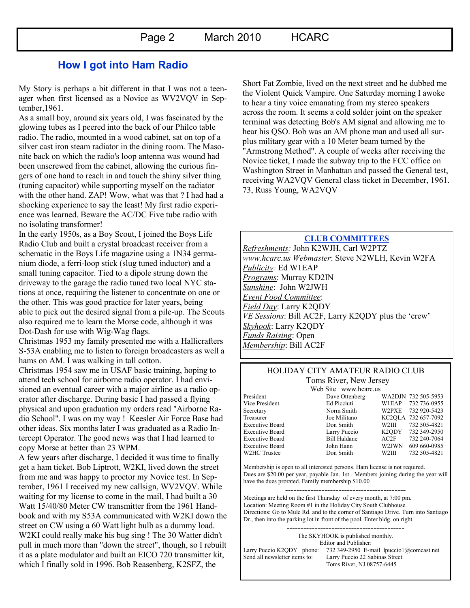# **How I got into Ham Radio**

My Story is perhaps a bit different in that I was not a teenager when first licensed as a Novice as WV2VQV in September,1961.

As a small boy, around six years old, I was fascinated by the glowing tubes as I peered into the back of our Philco table radio. The radio, mounted in a wood cabinet, sat on top of a silver cast iron steam radiator in the dining room. The Masonite back on which the radio's loop antenna was wound had been unscrewed from the cabinet, allowing the curious fingers of one hand to reach in and touch the shiny silver thing (tuning capacitor) while supporting myself on the radiator with the other hand. ZAP! Wow, what was that ? I had had a shocking experience to say the least! My first radio experience was learned. Beware the AC/DC Five tube radio with no isolating transformer!

In the early 1950s, as a Boy Scout, I joined the Boys Life Radio Club and built a crystal broadcast receiver from a schematic in the Boys Life magazine using a 1N34 germanium diode, a ferri-loop stick (slug tuned inductor) and a small tuning capacitor. Tied to a dipole strung down the driveway to the garage the radio tuned two local NYC stations at once, requiring the listener to concentrate on one or the other. This was good practice for later years, being able to pick out the desired signal from a pile-up. The Scouts also required me to learn the Morse code, although it was Dot-Dash for use with Wig-Wag flags.

Christmas 1953 my family presented me with a Hallicrafters S-53A enabling me to listen to foreign broadcasters as well a hams on AM. I was walking in tall cotton.

Christmas 1954 saw me in USAF basic training, hoping to attend tech school for airborne radio operator. I had envisioned an eventual career with a major airline as a radio operator after discharge. During basic I had passed a flying physical and upon graduation my orders read "Airborne Radio School". I was on my way ! Keesler Air Force Base had other ideas. Six months later I was graduated as a Radio Intercept Operator. The good news was that I had learned to copy Morse at better than 23 WPM.

A few years after discharge, I decided it was time to finally get a ham ticket. Bob Liptrott, W2KI, lived down the street from me and was happy to proctor my Novice test. In September, 1961 I received my new callsign, WV2VQV. While waiting for my license to come in the mail, I had built a 30 Watt 15/40/80 Meter CW transmitter from the 1961 Handbook and with my S53A communicated with W2KI down the street on CW using a 60 Watt light bulb as a dummy load. W2KI could really make his bug sing ! The 30 Watter didn't pull in much more than "down the street", though, so I rebuilt it as a plate modulator and built an EICO 720 transmitter kit, which I finally sold in 1996. Bob Reasenberg, K2SFZ, the

Short Fat Zombie, lived on the next street and he dubbed me the Violent Quick Vampire. One Saturday morning I awoke to hear a tiny voice emanating from my stereo speakers across the room. It seems a cold solder joint on the speaker terminal was detecting Bob's AM signal and allowing me to hear his QSO. Bob was an AM phone man and used all surplus military gear with a 10 Meter beam turned by the "Armstrong Method". A couple of weeks after receiving the Novice ticket, I made the subway trip to the FCC office on Washington Street in Manhattan and passed the General test, receiving WA2VQV General class ticket in December, 1961. 73, Russ Young, WA2VQV

**CLUB COMMITTEES**

*Refreshments:* John K2WJH, Carl W2PTZ *www.hcarc.us Webmaster*: Steve N2WLH, Kevin W2FA *Publicity:* Ed W1EAP *Programs*: Murray KD2IN *Sunshine*: John W2JWH *Event Food Committee*: *Field Day*: Larry K2QDY *VE Sessions*: Bill AC2F, Larry K2QDY plus the "crew" *Skyhook*: Larry K2QDY *Funds Raising*: Open *Membership*: Bill AC2F

#### HOLIDAY CITY AMATEUR RADIO CLUB Toms River, New Jersey

Web Site www.hcarc.us<br>Dave Ottenberg President Dave Ottenberg WA2DJN 732 505-5953 Vice President Ed Picciuti W1EAP 732 736-0955 Secretary Norm Smith W2PXE 732 920-5423 Treasurer Joe Militano KC2QLA 732 657-7092 Executive Board Don Smith W2III 732 505-4821 Executive Board Larry Puccio K2QDY 732 349-2950 Executive Board Bill Haldane AC2F 732 240-7064 Executive Board John Hann W2JWN 609 660-0985 W2HC Trustee  $\sim$  Don Smith W2III 732 505-4821

Membership is open to all interested persons. Ham license is not required. Dues are \$20.00 per year, payable Jan. 1st . Members joining during the year will have the dues prorated. Family membership \$10.00

------------------------------------------- Meetings are held on the first Thursday of every month, at 7:00 pm. Location: Meeting Room #1 in the Holiday City South Clubhouse. Directions: Go to Mule Rd. and to the corner of Santiago Drive. Turn into Santiago Dr., then into the parking lot in front of the pool. Enter bldg. on right.

------------------------------------------

The SKYHOOK is published monthly. Editor and Publisher:

Larry Puccio K2QDY phone: 732 349-2950 E-mail lpuccio1@comcast.net<br>Send all newsletter items to: Larry Puccio 22 Sabinas Street Larry Puccio 22 Sabinas Street Toms River, NJ 08757-6445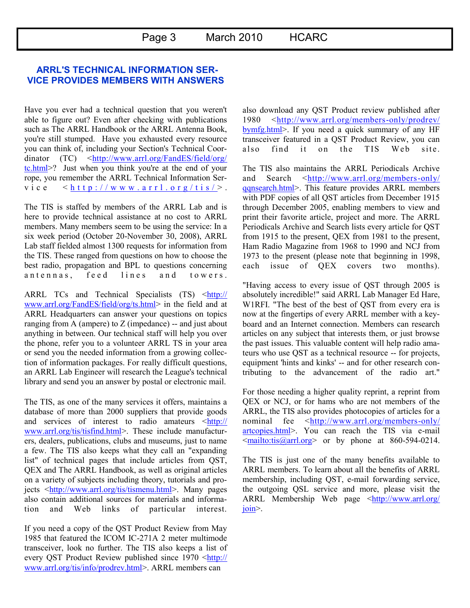## **ARRL'S TECHNICAL INFORMATION SER-VICE PROVIDES MEMBERS WITH ANSWERS**

Have you ever had a technical question that you weren't able to figure out? Even after checking with publications such as The ARRL Handbook or the ARRL Antenna Book, you're still stumped. Have you exhausted every resource you can think of, including your Section's Technical Coordinator (TC) <[http://www.arrl.org/FandES/field/org/](http://www.arrl.org/FandES/field/org/tc.html) [tc.html>?](http://www.arrl.org/FandES/field/org/tc.html) Just when you think you're at the end of your rope, you remember the ARRL Technical Information Serv i c e  $\langle$  h t t p : //www.arr l . o r g/t i s />.

The TIS is staffed by members of the ARRL Lab and is here to provide technical assistance at no cost to ARRL members. Many members seem to be using the service: In a six week period (October 20-November 30, 2008), ARRL Lab staff fielded almost 1300 requests for information from the TIS. These ranged from questions on how to choose the best radio, propagation and BPL to questions concerning antennas, feed lines and towers.

ARRL TCs and Technical Specialists (TS)  $\frac{\text{http://}}{\text{http://}}$  $\frac{\text{http://}}{\text{http://}}$  $\frac{\text{http://}}{\text{http://}}$ [www.arrl.org/FandES/field/org/ts.html>](http://www.arrl.org/FandES/field/org/ts.html) in the field and at ARRL Headquarters can answer your questions on topics ranging from A (ampere) to Z (impedance) -- and just about anything in between. Our technical staff will help you over the phone, refer you to a volunteer ARRL TS in your area or send you the needed information from a growing collection of information packages. For really difficult questions, an ARRL Lab Engineer will research the League's technical library and send you an answer by postal or electronic mail.

The TIS, as one of the many services it offers, maintains a database of more than 2000 suppliers that provide goods and services of interest to radio amateurs  $\lt^{\text{http://}}$  $\lt^{\text{http://}}$  $\lt^{\text{http://}}$ [www.arrl.org/tis/tisfind.html>.](http://www.arrl.org/tis/tisfind.html) These include manufacturers, dealers, publications, clubs and museums, just to name a few. The TIS also keeps what they call an "expanding list" of technical pages that include articles from QST, QEX and The ARRL Handbook, as well as original articles on a variety of subjects including theory, tutorials and pro-jects [<http://www.arrl.org/tis/tismenu.html>](http://www.arrl.org/tis/tismenu.html). Many pages also contain additional sources for materials and information and Web links of particular interest.

If you need a copy of the QST Product Review from May 1985 that featured the ICOM IC-271A 2 meter multimode transceiver, look no further. The TIS also keeps a list of every QST Product Review published since 1970 <[http://](http://www.arrl.org/tis/info/prodrev.html) [www.arrl.org/tis/info/prodrev.html>.](http://www.arrl.org/tis/info/prodrev.html) ARRL members can

also download any QST Product review published after 1980 <[http://www.arrl.org/members-only/prodrev/](http://www.arrl.org/members-only/prodrev/bymfg.html) [bymfg.html>.](http://www.arrl.org/members-only/prodrev/bymfg.html) If you need a quick summary of any HF transceiver featured in a QST Product Review, you can also find it on the TIS Web site.

The TIS also maintains the ARRL Periodicals Archive and Search  $\langle \frac{http://www.arrl.org/members-only}{$ [qqnsearch.html>.](http://www.arrl.org/members-only/qqnsearch.html) This feature provides ARRL members with PDF copies of all QST articles from December 1915 through December 2005, enabling members to view and print their favorite article, project and more. The ARRL Periodicals Archive and Search lists every article for QST from 1915 to the present, QEX from 1981 to the present, Ham Radio Magazine from 1968 to 1990 and NCJ from 1973 to the present (please note that beginning in 1998, each issue of QEX covers two months).

"Having access to every issue of QST through 2005 is absolutely incredible!" said ARRL Lab Manager Ed Hare, W1RFI. "The best of the best of QST from every era is now at the fingertips of every ARRL member with a keyboard and an Internet connection. Members can research articles on any subject that interests them, or just browse the past issues. This valuable content will help radio amateurs who use QST as a technical resource -- for projects, equipment 'hints and kinks' -- and for other research contributing to the advancement of the radio art."

For those needing a higher quality reprint, a reprint from QEX or NCJ, or for hams who are not members of the ARRL, the TIS also provides photocopies of articles for a nominal fee <[http://www.arrl.org/members-only/](http://www.arrl.org/members-only/artcopies.html) [artcopies.html>](http://www.arrl.org/members-only/artcopies.html). You can reach the TIS via e-mail  $\leq$ mailto:tis@arrl.org> or by phone at 860-594-0214.

The TIS is just one of the many benefits available to ARRL members. To learn about all the benefits of ARRL membership, including QST, e-mail forwarding service, the outgoing QSL service and more, please visit the ARRL Membership Web page <[http://www.arrl.org/](http://www.arrl.org/join) [join>.](http://www.arrl.org/join)